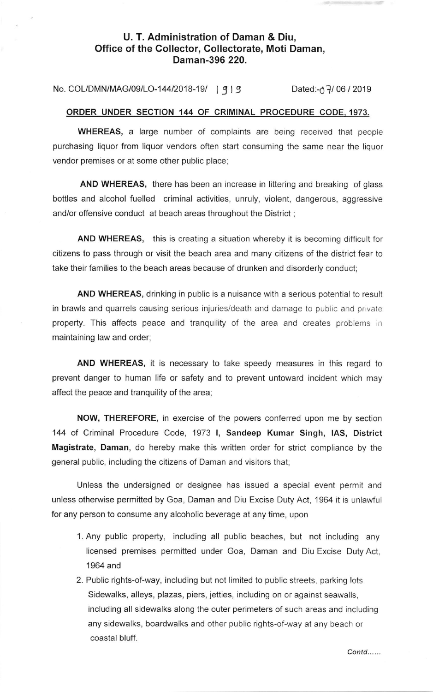### U. T. Administration of Daman & Diu, Office of the Gollector, Gollectorate, Moti Daman, Daman-396 220.

No. COL/DMN/MAG/09/LO-144/2018-19/ | 9 | 9 Dated:-07/ 06 / 2019

### ORDER UNDER SECTION 144 OF CRIMINAL PROCEDURE CODE, 1973.

WHEREAS, a large number of complaints are being received that people purchasing liquor from liquor vendors often start consuming the same near the liquor vendor premises or at some other public place;

AND WHEREAS, there has been an increase in littering and breaking of glass bottles and alcohol fuelled criminal activities, unruly, violent, dangerous, aggressive and/or offensive conduct at beach areas throughout the District ;

AND WHEREAS, this is creating a situation whereby it is becoming difficult for citizens to pass through or visit the beach area and many citizens of the district fear to take their families to the beach areas because of drunken and disorderly conduct;

AND WHEREAS, drinking in public is a nuisance with a serious potential to result in brawls and quarrels causing serious injuries/death and damage to public and private property. This affects peace and tranquility of the area and creates problems in maintaining law and order;

AND WHEREAS, it is necessary to take speedy measures in this regard to prevent danger to human life or safety and to prevent untoward incident which may affect the peace and tranquility of the area;

NOW, THEREFORE, in exercise of the powers conferred upon me by section 144 of Criminal Procedure Code, 1973 l, Sandeep Kumar Singh, lAS, District Magistrate, Daman, do hereby make this written order for strict compliance by the general public, including the citizens of Daman and visitors that;

Unless the undersigned or designee has issued a special event permit and unless otherwise permitted by Goa, Daman and Diu Excise Duty Act, 1964 it is unlawful for any person to consume any alcoholic beverage at any time, upon

- 1. Any public property, including all public beaches, but not including any licensed premises permitted under Goa, Daman and Diu Excise Duty Act, 1964 and
- 2. Public rights-of-way, including but not limited to public streets, parking lots Sidewalks, alleys, plazas, piers, jetties, including on or against seawalls, including all sidewalks along the outer perimeters of such areas and including any sidewalks, boardwalks and other public rights-of-way at any beach or coastal bluff.

Contd......